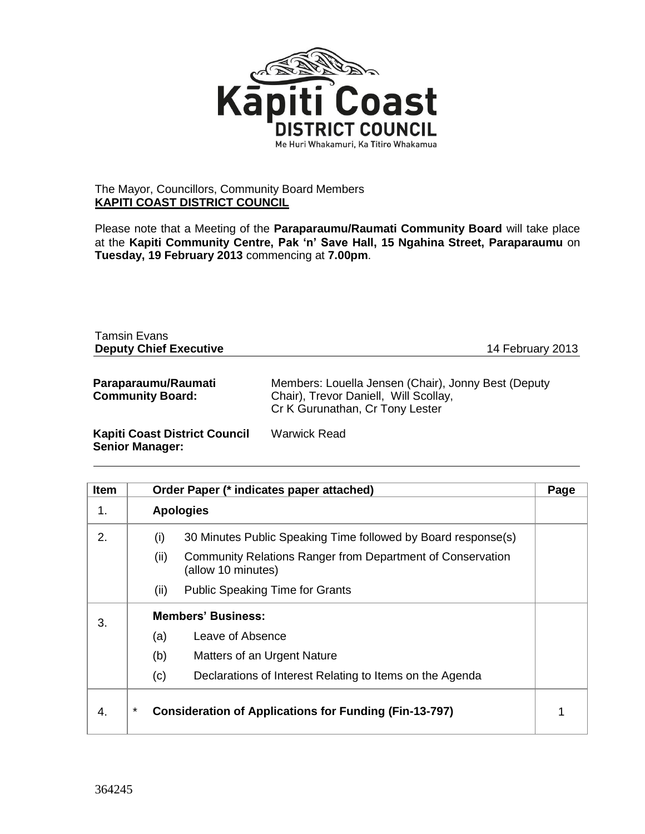

## The Mayor, Councillors, Community Board Members **KAPITI COAST DISTRICT COUNCIL**

Please note that a Meeting of the **Paraparaumu/Raumati Community Board** will take place at the **Kapiti Community Centre, Pak 'n' Save Hall, 15 Ngahina Street, Paraparaumu** on **Tuesday, 19 February 2013** commencing at **7.00pm**.

| <b>Tamsin Evans</b><br><b>Deputy Chief Executive</b>           | 14 February 2013                                                                                                                |
|----------------------------------------------------------------|---------------------------------------------------------------------------------------------------------------------------------|
| Paraparaumu/Raumati<br><b>Community Board:</b>                 | Members: Louella Jensen (Chair), Jonny Best (Deputy<br>Chair), Trevor Daniell, Will Scollay,<br>Cr K Gurunathan, Cr Tony Lester |
| <b>Kapiti Coast District Council</b><br><b>Senior Manager:</b> | Warwick Read                                                                                                                    |

| <b>Item</b> | Order Paper (* indicates paper attached)                                                 | Page |
|-------------|------------------------------------------------------------------------------------------|------|
| 1.          | <b>Apologies</b>                                                                         |      |
| 2.          | (i)<br>30 Minutes Public Speaking Time followed by Board response(s)                     |      |
|             | Community Relations Ranger from Department of Conservation<br>(ii)<br>(allow 10 minutes) |      |
|             | <b>Public Speaking Time for Grants</b><br>(ii)                                           |      |
| 3.          | <b>Members' Business:</b>                                                                |      |
|             | Leave of Absence<br>(a)                                                                  |      |
|             | (b)<br>Matters of an Urgent Nature                                                       |      |
|             | Declarations of Interest Relating to Items on the Agenda<br>(c)                          |      |
| 4.          | $^\star$<br><b>Consideration of Applications for Funding (Fin-13-797)</b>                |      |